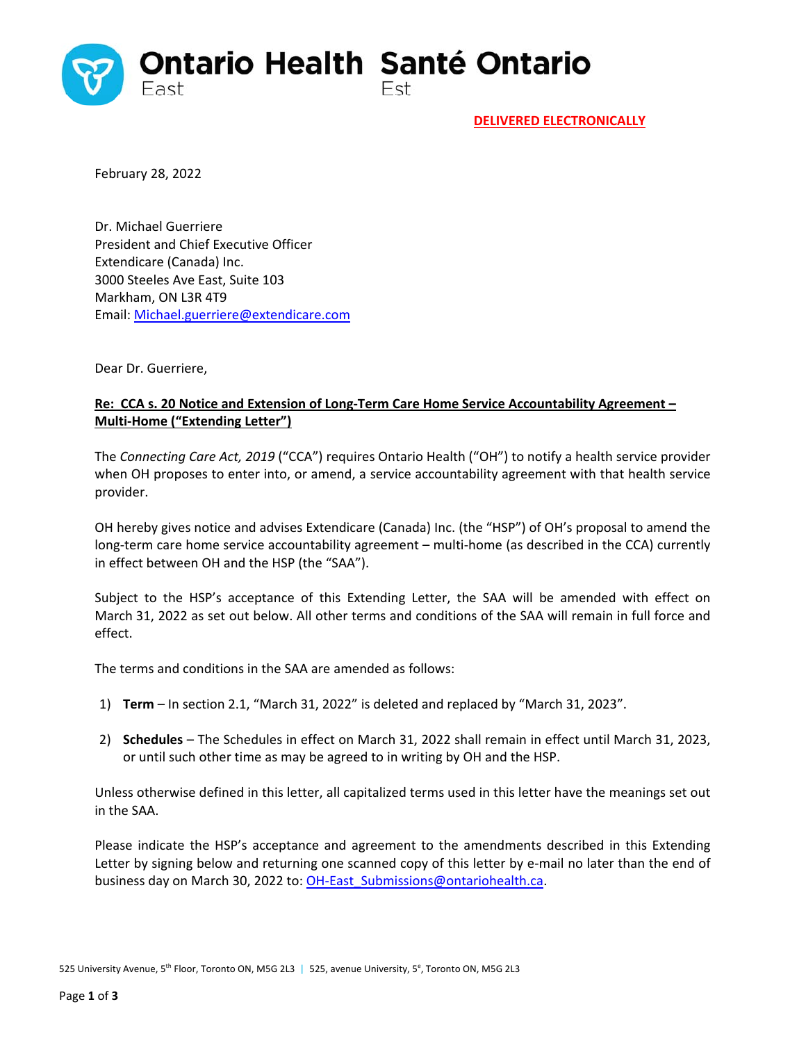

**DELIVERED ELECTRONICALLY**

February 28, 2022

Dr. Michael Guerriere President and Chief Executive Officer Extendicare (Canada) Inc. 3000 Steeles Ave East, Suite 103 Markham, ON L3R 4T9 Email: Michael.guerriere@extendicare.com

Dear Dr. Guerriere,

## **Re: CCA s. 20 Notice and Extension of Long‐Term Care Home Service Accountability Agreement – Multi‐Home ("Extending Letter")**

The *Connecting Care Act, 2019* ("CCA") requires Ontario Health ("OH") to notify a health service provider when OH proposes to enter into, or amend, a service accountability agreement with that health service provider.

OH hereby gives notice and advises Extendicare (Canada) Inc. (the "HSP") of OH's proposal to amend the long-term care home service accountability agreement – multi-home (as described in the CCA) currently in effect between OH and the HSP (the "SAA").

Subject to the HSP's acceptance of this Extending Letter, the SAA will be amended with effect on March 31, 2022 as set out below. All other terms and conditions of the SAA will remain in full force and effect.

The terms and conditions in the SAA are amended as follows:

- 1) **Term** In section 2.1, "March 31, 2022" is deleted and replaced by "March 31, 2023".
- 2) **Schedules** The Schedules in effect on March 31, 2022 shall remain in effect until March 31, 2023, or until such other time as may be agreed to in writing by OH and the HSP.

Unless otherwise defined in this letter, all capitalized terms used in this letter have the meanings set out in the SAA.

Please indicate the HSP's acceptance and agreement to the amendments described in this Extending Letter by signing below and returning one scanned copy of this letter by e-mail no later than the end of business day on March 30, 2022 to: OH-East\_Submissions@ontariohealth.ca.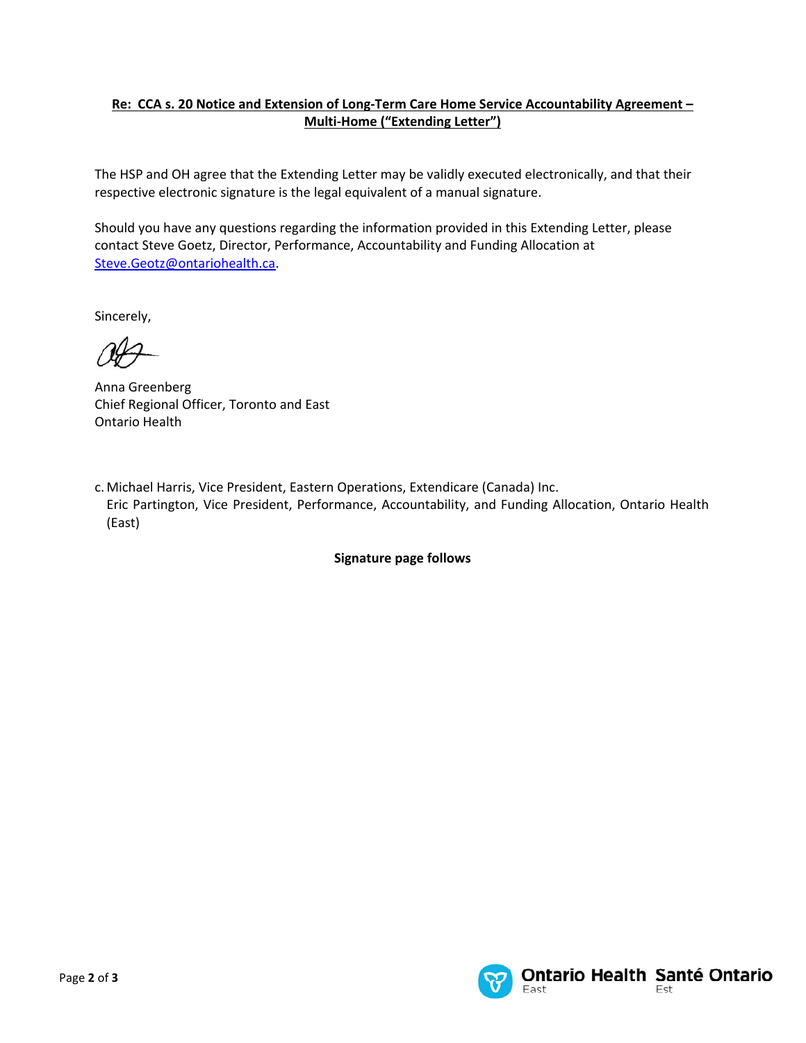## **Re: CCA s. 20 Notice and Extension of Long‐Term Care Home Service Accountability Agreement – Multi‐Home ("Extending Letter")**

The HSP and OH agree that the Extending Letter may be validly executed electronically, and that their respective electronic signature is the legal equivalent of a manual signature.

Should you have any questions regarding the information provided in this Extending Letter, please contact Steve Goetz, Director, Performance, Accountability and Funding Allocation at Steve.Geotz@ontariohealth.ca.

Sincerely,

Anna Greenberg Chief Regional Officer, Toronto and East Ontario Health

c. Michael Harris, Vice President, Eastern Operations, Extendicare (Canada) Inc. Eric Partington, Vice President, Performance, Accountability, and Funding Allocation, Ontario Health (East)

**Signature page follows**